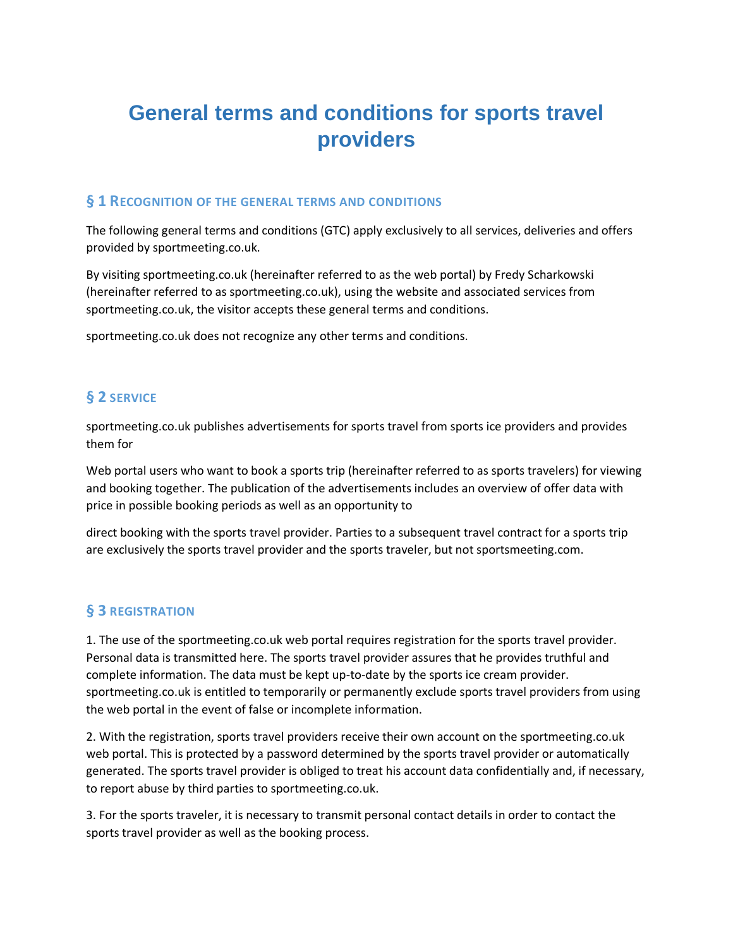# **General terms and conditions for sports travel providers**

#### **§ 1 RECOGNITION OF THE GENERAL TERMS AND CONDITIONS**

The following general terms and conditions (GTC) apply exclusively to all services, deliveries and offers provided by sportmeeting.co.uk.

By visiting sportmeeting.co.uk (hereinafter referred to as the web portal) by Fredy Scharkowski (hereinafter referred to as sportmeeting.co.uk), using the website and associated services from sportmeeting.co.uk, the visitor accepts these general terms and conditions.

sportmeeting.co.uk does not recognize any other terms and conditions.

# **§ 2 SERVICE**

sportmeeting.co.uk publishes advertisements for sports travel from sports ice providers and provides them for

Web portal users who want to book a sports trip (hereinafter referred to as sports travelers) for viewing and booking together. The publication of the advertisements includes an overview of offer data with price in possible booking periods as well as an opportunity to

direct booking with the sports travel provider. Parties to a subsequent travel contract for a sports trip are exclusively the sports travel provider and the sports traveler, but not sportsmeeting.com.

#### **§ 3 REGISTRATION**

1. The use of the sportmeeting.co.uk web portal requires registration for the sports travel provider. Personal data is transmitted here. The sports travel provider assures that he provides truthful and complete information. The data must be kept up-to-date by the sports ice cream provider. sportmeeting.co.uk is entitled to temporarily or permanently exclude sports travel providers from using the web portal in the event of false or incomplete information.

2. With the registration, sports travel providers receive their own account on the sportmeeting.co.uk web portal. This is protected by a password determined by the sports travel provider or automatically generated. The sports travel provider is obliged to treat his account data confidentially and, if necessary, to report abuse by third parties to sportmeeting.co.uk.

3. For the sports traveler, it is necessary to transmit personal contact details in order to contact the sports travel provider as well as the booking process.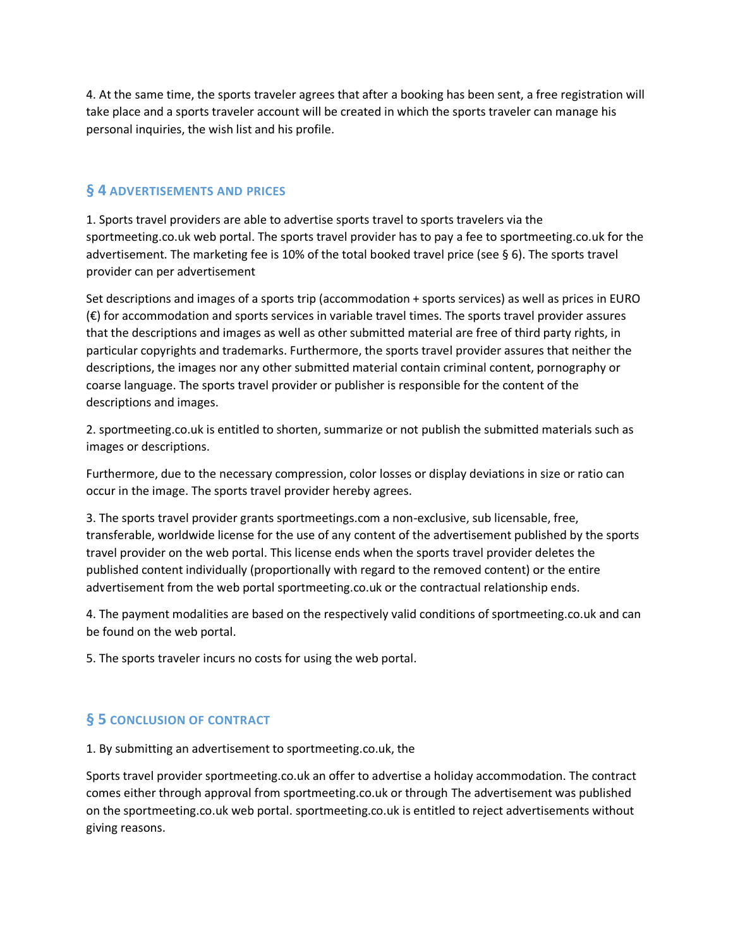4. At the same time, the sports traveler agrees that after a booking has been sent, a free registration will take place and a sports traveler account will be created in which the sports traveler can manage his personal inquiries, the wish list and his profile.

## **§ 4 ADVERTISEMENTS AND PRICES**

1. Sports travel providers are able to advertise sports travel to sports travelers via the sportmeeting.co.uk web portal. The sports travel provider has to pay a fee to sportmeeting.co.uk for the advertisement. The marketing fee is 10% of the total booked travel price (see § 6). The sports travel provider can per advertisement

Set descriptions and images of a sports trip (accommodation + sports services) as well as prices in EURO (€) for accommodation and sports services in variable travel times. The sports travel provider assures that the descriptions and images as well as other submitted material are free of third party rights, in particular copyrights and trademarks. Furthermore, the sports travel provider assures that neither the descriptions, the images nor any other submitted material contain criminal content, pornography or coarse language. The sports travel provider or publisher is responsible for the content of the descriptions and images.

2. sportmeeting.co.uk is entitled to shorten, summarize or not publish the submitted materials such as images or descriptions.

Furthermore, due to the necessary compression, color losses or display deviations in size or ratio can occur in the image. The sports travel provider hereby agrees.

3. The sports travel provider grants sportmeetings.com a non-exclusive, sub licensable, free, transferable, worldwide license for the use of any content of the advertisement published by the sports travel provider on the web portal. This license ends when the sports travel provider deletes the published content individually (proportionally with regard to the removed content) or the entire advertisement from the web portal sportmeeting.co.uk or the contractual relationship ends.

4. The payment modalities are based on the respectively valid conditions of sportmeeting.co.uk and can be found on the web portal.

5. The sports traveler incurs no costs for using the web portal.

## **§ 5 CONCLUSION OF CONTRACT**

1. By submitting an advertisement to sportmeeting.co.uk, the

Sports travel provider sportmeeting.co.uk an offer to advertise a holiday accommodation. The contract comes either through approval from sportmeeting.co.uk or through The advertisement was published on the sportmeeting.co.uk web portal. sportmeeting.co.uk is entitled to reject advertisements without giving reasons.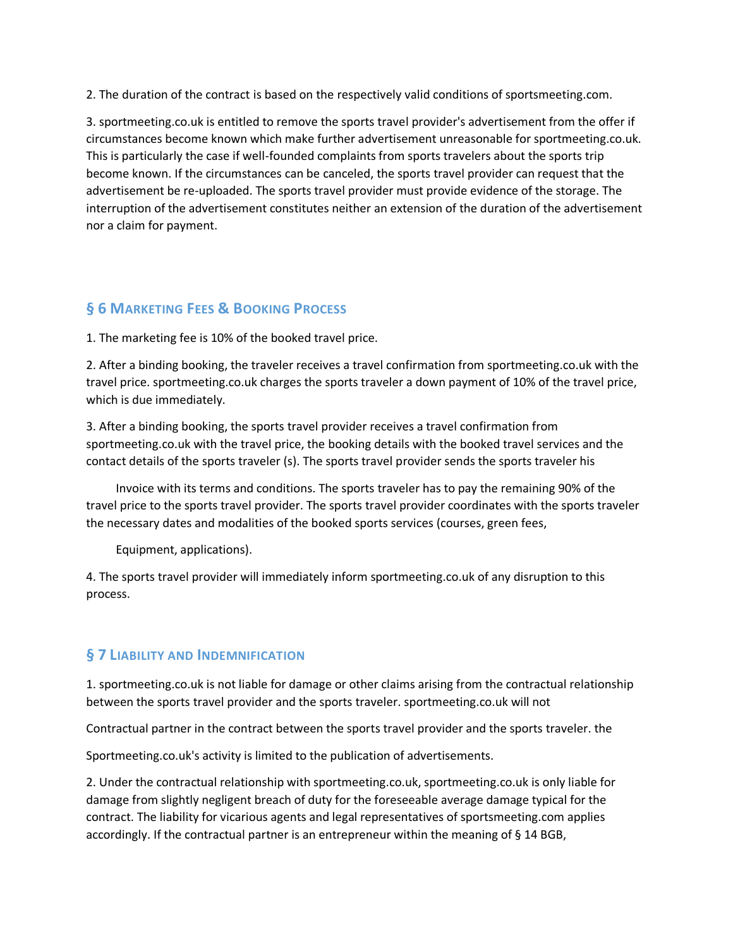2. The duration of the contract is based on the respectively valid conditions of sportsmeeting.com.

3. sportmeeting.co.uk is entitled to remove the sports travel provider's advertisement from the offer if circumstances become known which make further advertisement unreasonable for sportmeeting.co.uk. This is particularly the case if well-founded complaints from sports travelers about the sports trip become known. If the circumstances can be canceled, the sports travel provider can request that the advertisement be re-uploaded. The sports travel provider must provide evidence of the storage. The interruption of the advertisement constitutes neither an extension of the duration of the advertisement nor a claim for payment.

## **§ 6 MARKETING FEES & BOOKING PROCESS**

1. The marketing fee is 10% of the booked travel price.

2. After a binding booking, the traveler receives a travel confirmation from sportmeeting.co.uk with the travel price. sportmeeting.co.uk charges the sports traveler a down payment of 10% of the travel price, which is due immediately.

3. After a binding booking, the sports travel provider receives a travel confirmation from sportmeeting.co.uk with the travel price, the booking details with the booked travel services and the contact details of the sports traveler (s). The sports travel provider sends the sports traveler his

 Invoice with its terms and conditions. The sports traveler has to pay the remaining 90% of the travel price to the sports travel provider. The sports travel provider coordinates with the sports traveler the necessary dates and modalities of the booked sports services (courses, green fees,

Equipment, applications).

4. The sports travel provider will immediately inform sportmeeting.co.uk of any disruption to this process.

#### **§ 7 LIABILITY AND INDEMNIFICATION**

1. sportmeeting.co.uk is not liable for damage or other claims arising from the contractual relationship between the sports travel provider and the sports traveler. sportmeeting.co.uk will not

Contractual partner in the contract between the sports travel provider and the sports traveler. the

Sportmeeting.co.uk's activity is limited to the publication of advertisements.

2. Under the contractual relationship with sportmeeting.co.uk, sportmeeting.co.uk is only liable for damage from slightly negligent breach of duty for the foreseeable average damage typical for the contract. The liability for vicarious agents and legal representatives of sportsmeeting.com applies accordingly. If the contractual partner is an entrepreneur within the meaning of § 14 BGB,